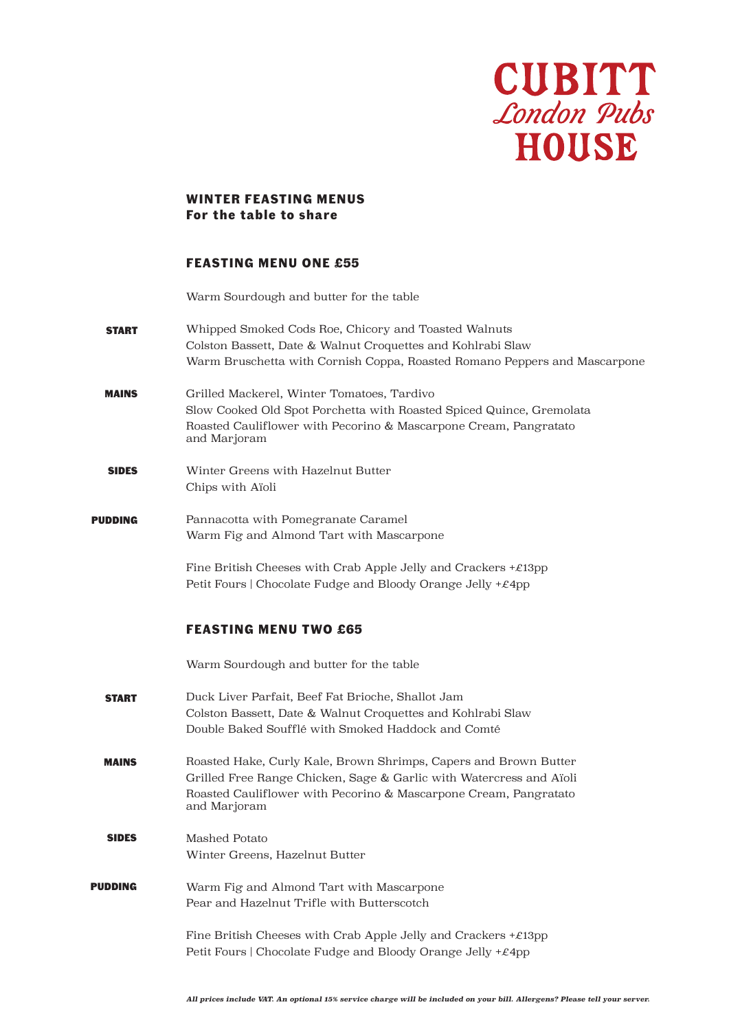

## **WINTER FEASTING MENUS For the table to share**

# **FEASTING MENU ONE £55**

Warm Sourdough and butter for the table

- START Whipped Smoked Cods Roe, Chicory and Toasted Walnuts Colston Bassett, Date & Walnut Croquettes and Kohlrabi Slaw Warm Bruschetta with Cornish Coppa, Roasted Romano Peppers and Mascarpone
- MAINS Grilled Mackerel, Winter Tomatoes, Tardivo Slow Cooked Old Spot Porchetta with Roasted Spiced Quince, Gremolata Roasted Cauliflower with Pecorino & Mascarpone Cream, Pangratato and Marjoram
- SIDES Winter Greens with Hazelnut Butter Chips with Aïoli
- PUDDING Pannacotta with Pomegranate Caramel Warm Fig and Almond Tart with Mascarpone

Fine British Cheeses with Crab Apple Jelly and Crackers +£13pp Petit Fours | Chocolate Fudge and Bloody Orange Jelly +£4pp

#### **FEASTING MENU TWO £65**

Warm Sourdough and butter for the table

- START Duck Liver Parfait, Beef Fat Brioche, Shallot Jam Colston Bassett, Date & Walnut Croquettes and Kohlrabi Slaw Double Baked Soufflé with Smoked Haddock and Comté
- MAINS Roasted Hake, Curly Kale, Brown Shrimps, Capers and Brown Butter Grilled Free Range Chicken, Sage & Garlic with Watercress and Aïoli Roasted Cauliflower with Pecorino & Mascarpone Cream, Pangratato and Marjoram
- SIDES Mashed Potato Winter Greens, Hazelnut Butter
- PUDDING Warm Fig and Almond Tart with Mascarpone Pear and Hazelnut Trifle with Butterscotch

Fine British Cheeses with Crab Apple Jelly and Crackers  $+\mathcal{E}13pp$ Petit Fours | Chocolate Fudge and Bloody Orange Jelly +£4pp